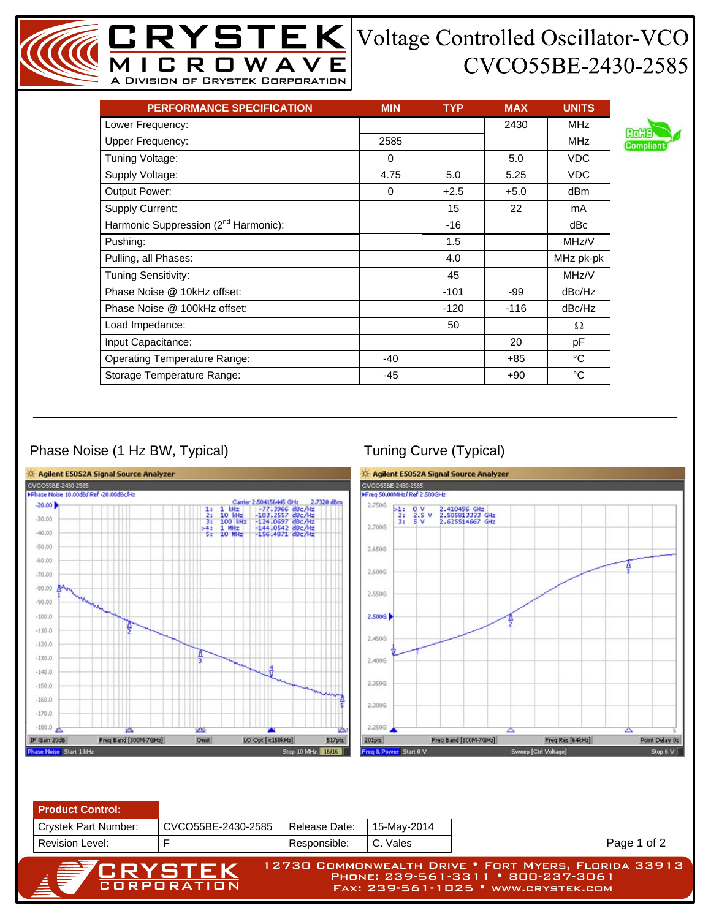## $YSTEK$  Voltage Controlled Oscillator-VCO CVCO55BE-2430-2585

| <b>PERFORMANCE SPECIFICATION</b>                 | <b>MIN</b> | <b>TYP</b> | <b>MAX</b> | <b>UNITS</b> |
|--------------------------------------------------|------------|------------|------------|--------------|
| Lower Frequency:                                 |            |            | 2430       | <b>MHz</b>   |
| Upper Frequency:                                 | 2585       |            |            | MHz.         |
| Tuning Voltage:                                  | 0          |            | 5.0        | <b>VDC</b>   |
| Supply Voltage:                                  | 4.75       | 5.0        | 5.25       | <b>VDC</b>   |
| Output Power:                                    | $\Omega$   | $+2.5$     | $+5.0$     | dBm          |
| <b>Supply Current:</b>                           |            | 15         | 22         | mA           |
| Harmonic Suppression (2 <sup>nd</sup> Harmonic): |            | $-16$      |            | dBc          |
| Pushing:                                         |            | 1.5        |            | MHz/V        |
| Pulling, all Phases:                             |            | 4.0        |            | MHz pk-pk    |
| <b>Tuning Sensitivity:</b>                       |            | 45         |            | MHz/V        |
| Phase Noise @ 10kHz offset:                      |            | $-101$     | -99        | dBc/Hz       |
| Phase Noise @ 100kHz offset:                     |            | $-120$     | $-116$     | dBc/Hz       |
| Load Impedance:                                  |            | 50         |            | Ω            |
| Input Capacitance:                               |            |            | 20         | рF           |
| <b>Operating Temperature Range:</b>              | -40        |            | $+85$      | °C           |
| Storage Temperature Range:                       | $-45$      |            | $+90$      | °C           |

A Division of Crystek Corporation

₹.

## Phase Noise (1 Hz BW, Typical) Tuning Curve (Typical)



| <b>Product Control:</b>     |                    |               |             |                                                                                                                                   |
|-----------------------------|--------------------|---------------|-------------|-----------------------------------------------------------------------------------------------------------------------------------|
| <b>Crystek Part Number:</b> | CVCO55BE-2430-2585 | Release Date: | 15-May-2014 |                                                                                                                                   |
| <b>Revision Level:</b>      |                    | Responsible:  | C. Vales    | Page 1 of 2                                                                                                                       |
| <b>A PERYSTEK</b>           |                    |               |             | 12730 COMMONWEALTH DRIVE . FORT MYERS, FLORIDA 33913<br>PHONE: 239-561-3311 • 800-237-3061<br>FAX: 239-561-1025 · WWW.CRYSTEK.COM |